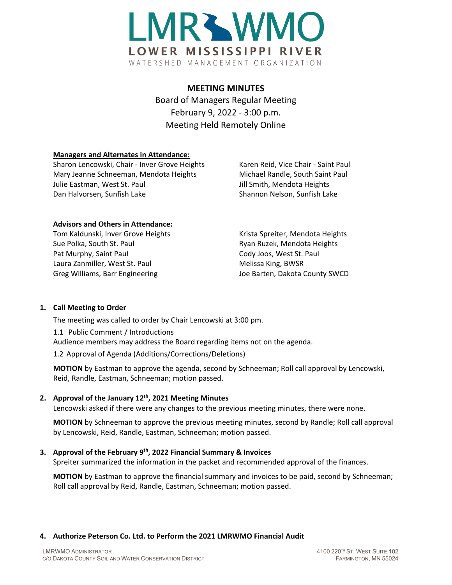

### **MEETING MINUTES**

Board of Managers Regular Meeting February 9, 2022 - 3:00 p.m. Meeting Held Remotely Online

### **Managers and Alternates in Attendance:**

Sharon Lencowski, Chair - Inver Grove Heights Karen Reid, Vice Chair - Saint Paul Mary Jeanne Schneeman, Mendota Heights Michael Randle, South Saint Paul Julie Eastman, West St. Paul **Julie St. Australian St. Australian St. Australian St. Australian St. Australian St** Dan Halvorsen, Sunfish Lake Shannon Nelson, Sunfish Lake

### **Advisors and Others in Attendance:**

Tom Kaldunski, Inver Grove Heights Krista Spreiter, Mendota Heights Sue Polka, South St. Paul **Ryan Ruzek, Mendota Heights** Ryan Ruzek, Mendota Heights Pat Murphy, Saint Paul **Cody Joos, West St. Paul** Cody Joos, West St. Paul Laura Zanmiller, West St. Paul Melissa King, BWSR Greg Williams, Barr Engineering The Matter of Barten, Dakota County SWCD

# **1. Call Meeting to Order**

The meeting was called to order by Chair Lencowski at 3:00 pm.

1.1 Public Comment / Introductions

Audience members may address the Board regarding items not on the agenda.

1.2 Approval of Agenda (Additions/Corrections/Deletions)

**MOTION** by Eastman to approve the agenda, second by Schneeman; Roll call approval by Lencowski, Reid, Randle, Eastman, Schneeman; motion passed.

# **2. Approval of the January 12th, 2021 Meeting Minutes**

Lencowski asked if there were any changes to the previous meeting minutes, there were none.

**MOTION** by Schneeman to approve the previous meeting minutes, second by Randle; Roll call approval by Lencowski, Reid, Randle, Eastman, Schneeman; motion passed.

# **3. Approval of the February 9th, 2022 Financial Summary & Invoices**

Spreiter summarized the information in the packet and recommended approval of the finances.

**MOTION** by Eastman to approve the financial summary and invoices to be paid, second by Schneeman; Roll call approval by Reid, Randle, Eastman, Schneeman; motion passed.

# **4. Authorize Peterson Co. Ltd. to Perform the 2021 LMRWMO Financial Audit**